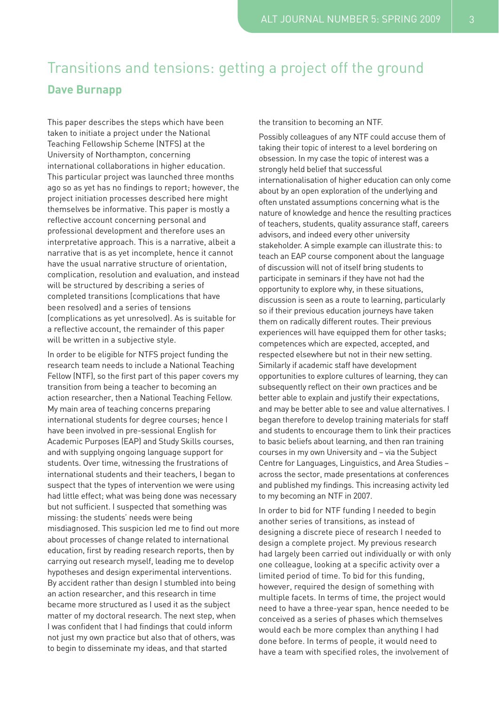## Transitions and tensions: getting a project off the ground **Dave Burnapp**

This paper describes the steps which have been taken to initiate a project under the National Teaching Fellowship Scheme (NTFS) at the University of Northampton, concerning international collaborations in higher education. This particular project was launched three months ago so as yet has no findings to report; however, the project initiation processes described here might themselves be informative. This paper is mostly a reflective account concerning personal and professional development and therefore uses an interpretative approach. This is a narrative, albeit a narrative that is as yet incomplete, hence it cannot have the usual narrative structure of orientation, complication, resolution and evaluation, and instead will be structured by describing a series of completed transitions (complications that have been resolved) and a series of tensions (complications as yet unresolved). As is suitable for a reflective account, the remainder of this paper will be written in a subjective style.

In order to be eligible for NTFS project funding the research team needs to include a National Teaching Fellow (NTF), so the first part of this paper covers my transition from being a teacher to becoming an action researcher, then a National Teaching Fellow. My main area of teaching concerns preparing international students for degree courses; hence I have been involved in pre-sessional English for Academic Purposes (EAP) and Study Skills courses, and with supplying ongoing language support for students. Over time, witnessing the frustrations of international students and their teachers, I began to suspect that the types of intervention we were using had little effect; what was being done was necessary but not sufficient. I suspected that something was missing: the students' needs were being misdiagnosed. This suspicion led me to find out more about processes of change related to international education, first by reading research reports, then by carrying out research myself, leading me to develop hypotheses and design experimental interventions. By accident rather than design I stumbled into being an action researcher, and this research in time became more structured as I used it as the subject matter of my doctoral research. The next step, when I was confident that I had findings that could inform not just my own practice but also that of others, was to begin to disseminate my ideas, and that started

the transition to becoming an NTF.

Possibly colleagues of any NTF could accuse them of taking their topic of interest to a level bordering on obsession. In my case the topic of interest was a strongly held belief that successful internationalisation of higher education can only come about by an open exploration of the underlying and often unstated assumptions concerning what is the nature of knowledge and hence the resulting practices of teachers, students, quality assurance staff, careers advisors, and indeed every other university stakeholder. A simple example can illustrate this: to teach an EAP course component about the language of discussion will not of itself bring students to participate in seminars if they have not had the opportunity to explore why, in these situations, discussion is seen as a route to learning, particularly so if their previous education journeys have taken them on radically different routes. Their previous experiences will have equipped them for other tasks; competences which are expected, accepted, and respected elsewhere but not in their new setting. Similarly if academic staff have development opportunities to explore cultures of learning, they can subsequently reflect on their own practices and be better able to explain and justify their expectations, and may be better able to see and value alternatives. I began therefore to develop training materials for staff and students to encourage them to link their practices to basic beliefs about learning, and then ran training courses in my own University and – via the Subject Centre for Languages, Linguistics, and Area Studies – across the sector, made presentations at conferences and published my findings. This increasing activity led to my becoming an NTF in 2007.

In order to bid for NTF funding I needed to begin another series of transitions, as instead of designing a discrete piece of research I needed to design a complete project. My previous research had largely been carried out individually or with only one colleague, looking at a specific activity over a limited period of time. To bid for this funding, however, required the design of something with multiple facets. In terms of time, the project would need to have a three-year span, hence needed to be conceived as a series of phases which themselves would each be more complex than anything I had done before. In terms of people, it would need to have a team with specified roles, the involvement of